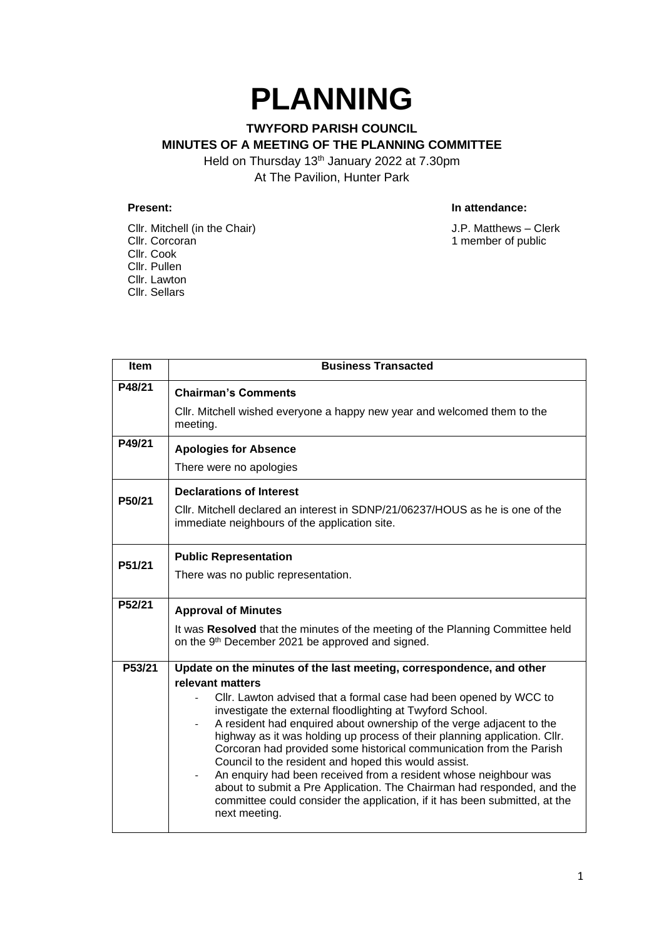## **PLANNING**

## **TWYFORD PARISH COUNCIL MINUTES OF A MEETING OF THE PLANNING COMMITTEE** Held on Thursday 13<sup>th</sup> January 2022 at 7.30pm

At The Pavilion, Hunter Park

Cllr. Mitchell (in the Chair) J.P. Matthews – Clerk<br>Cllr. Corcoran 1 member of public Cllr. Cook Cllr. Pullen Cllr. Lawton Cllr. Sellars

## **Present: In attendance:**

1 member of public

| <b>Item</b> | <b>Business Transacted</b>                                                                                                                                                                                                                                                                                                                                                                                                                                                                                                                                                                                                                                                                                                                                                    |
|-------------|-------------------------------------------------------------------------------------------------------------------------------------------------------------------------------------------------------------------------------------------------------------------------------------------------------------------------------------------------------------------------------------------------------------------------------------------------------------------------------------------------------------------------------------------------------------------------------------------------------------------------------------------------------------------------------------------------------------------------------------------------------------------------------|
| P48/21      | <b>Chairman's Comments</b><br>CIIr. Mitchell wished everyone a happy new year and welcomed them to the<br>meeting.                                                                                                                                                                                                                                                                                                                                                                                                                                                                                                                                                                                                                                                            |
| P49/21      | <b>Apologies for Absence</b><br>There were no apologies                                                                                                                                                                                                                                                                                                                                                                                                                                                                                                                                                                                                                                                                                                                       |
| P50/21      | <b>Declarations of Interest</b><br>CIIr. Mitchell declared an interest in SDNP/21/06237/HOUS as he is one of the<br>immediate neighbours of the application site.                                                                                                                                                                                                                                                                                                                                                                                                                                                                                                                                                                                                             |
| P51/21      | <b>Public Representation</b><br>There was no public representation.                                                                                                                                                                                                                                                                                                                                                                                                                                                                                                                                                                                                                                                                                                           |
| P52/21      | <b>Approval of Minutes</b><br>It was Resolved that the minutes of the meeting of the Planning Committee held<br>on the 9th December 2021 be approved and signed.                                                                                                                                                                                                                                                                                                                                                                                                                                                                                                                                                                                                              |
| P53/21      | Update on the minutes of the last meeting, correspondence, and other<br>relevant matters<br>Cllr. Lawton advised that a formal case had been opened by WCC to<br>investigate the external floodlighting at Twyford School.<br>A resident had enquired about ownership of the verge adjacent to the<br>$\blacksquare$<br>highway as it was holding up process of their planning application. Cllr.<br>Corcoran had provided some historical communication from the Parish<br>Council to the resident and hoped this would assist.<br>An enquiry had been received from a resident whose neighbour was<br>about to submit a Pre Application. The Chairman had responded, and the<br>committee could consider the application, if it has been submitted, at the<br>next meeting. |